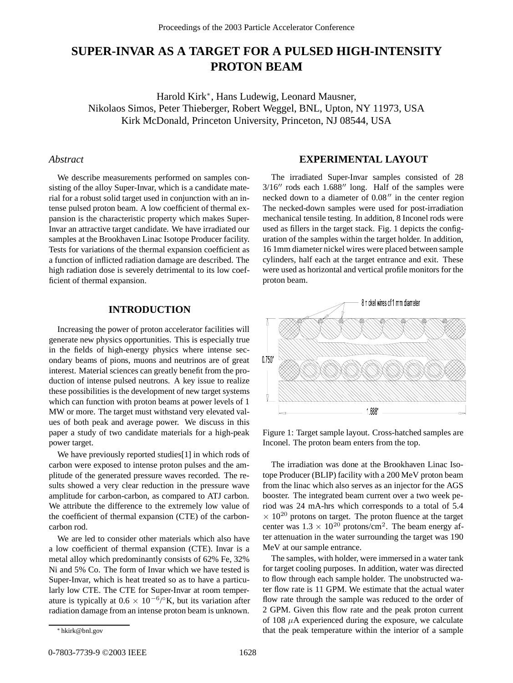# **SUPER-INVAR AS A TARGET FOR A PULSED HIGH-INTENSITY PROTON BEAM**

Harold Kirk∗, Hans Ludewig, Leonard Mausner, Nikolaos Simos, Peter Thieberger, Robert Weggel, BNL, Upton, NY 11973, USA Kirk McDonald, Princeton University, Princeton, NJ 08544, USA

## *Abstract*

We describe measurements performed on samples consisting of the alloy Super-Invar, which is a candidate material for a robust solid target used in conjunction with an intense pulsed proton beam. A low coefficient of thermal expansion is the characteristic property which makes Super-Invar an attractive target candidate. We have irradiated our samples at the Brookhaven Linac Isotope Producer facility. Tests for variations of the thermal expansion coefficient as a function of inflicted radiation damage are described. The high radiation dose is severely detrimental to its low coefficient of thermal expansion.

## **INTRODUCTION**

Increasing the power of proton accelerator facilities will generate new physics opportunities. This is especially true in the fields of high-energy physics where intense secondary beams of pions, muons and neutrinos are of great interest. Material sciences can greatly benefit from the production of intense pulsed neutrons. A key issue to realize these possibilities is the development of new target systems which can function with proton beams at power levels of 1 MW or more. The target must withstand very elevated values of both peak and average power. We discuss in this paper a study of two candidate materials for a high-peak power target.

We have previously reported studies[1] in which rods of carbon were exposed to intense proton pulses and the amplitude of the generated pressure waves recorded. The results showed a very clear reduction in the pressure wave amplitude for carbon-carbon, as compared to ATJ carbon. We attribute the difference to the extremely low value of the coefficient of thermal expansion (CTE) of the carboncarbon rod.

We are led to consider other materials which also have a low coefficient of thermal expansion (CTE). Invar is a metal alloy which predominantly consists of 62% Fe, 32% Ni and 5% Co. The form of Invar which we have tested is Super-Invar, which is heat treated so as to have a particularly low CTE. The CTE for Super-Invar at room temperature is typically at  $0.6 \times 10^{-6}$ /°K, but its variation after radiation damage from an intense proton beam is unknown.

#### **EXPERIMENTAL LAYOUT**

The irradiated Super-Invar samples consisted of 28  $3/16''$  rods each  $1.688''$  long. Half of the samples were necked down to a diameter of 0.08" in the center region The necked-down samples were used for post-irradiation mechanical tensile testing. In addition, 8 Inconel rods were used as fillers in the target stack. Fig. 1 depicts the configuration of the samples within the target holder. In addition, 16 1mm diameter nickel wires were placed between sample cylinders, half each at the target entrance and exit. These were used as horizontal and vertical profile monitors for the proton beam.



Figure 1: Target sample layout. Cross-hatched samples are Inconel. The proton beam enters from the top.

The irradiation was done at the Brookhaven Linac Isotope Producer (BLIP) facility with a 200 MeV proton beam from the linac which also serves as an injector for the AGS booster. The integrated beam current over a two week period was 24 mA-hrs which corresponds to a total of 5.4  $\times$  10<sup>20</sup> protons on target. The proton fluence at the target center was  $1.3 \times 10^{20}$  protons/cm<sup>2</sup>. The beam energy after attenuation in the water surrounding the target was 190 MeV at our sample entrance.

The samples, with holder, were immersed in a water tank for target cooling purposes. In addition, water was directed to flow through each sample holder. The unobstructed water flow rate is 11 GPM. We estimate that the actual water flow rate through the sample was reduced to the order of 2 GPM. Given this flow rate and the peak proton current of  $108 \mu A$  experienced during the exposure, we calculate that the peak temperature within the interior of a sample

<sup>∗</sup> hkirk@bnl.gov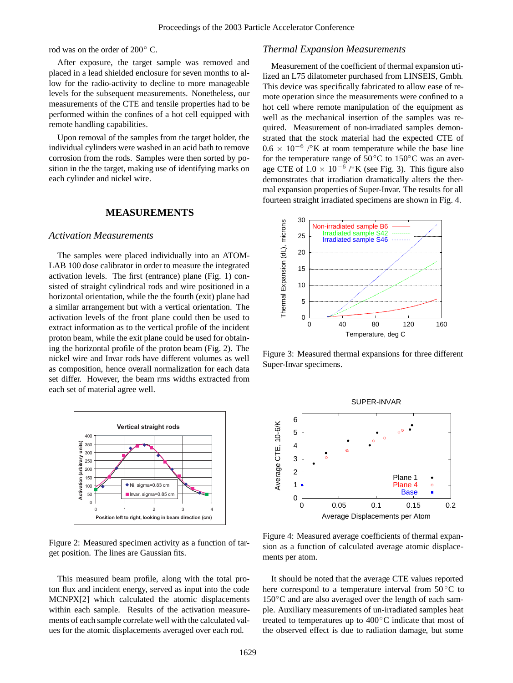rod was on the order of 200◦ C.

After exposure, the target sample was removed and placed in a lead shielded enclosure for seven months to allow for the radio-activity to decline to more manageable levels for the subsequent measurements. Nonetheless, our measurements of the CTE and tensile properties had to be performed within the confines of a hot cell equipped with remote handling capabilities.

Upon removal of the samples from the target holder, the individual cylinders were washed in an acid bath to remove corrosion from the rods. Samples were then sorted by position in the the target, making use of identifying marks on each cylinder and nickel wire.

# **MEASUREMENTS**

#### *Activation Measurements*

The samples were placed individually into an ATOM-LAB 100 dose calibrator in order to measure the integrated activation levels. The first (entrance) plane (Fig. 1) consisted of straight cylindrical rods and wire positioned in a horizontal orientation, while the the fourth (exit) plane had a similar arrangement but with a vertical orientation. The activation levels of the front plane could then be used to extract information as to the vertical profile of the incident proton beam, while the exit plane could be used for obtaining the horizontal profile of the proton beam (Fig. 2). The nickel wire and Invar rods have different volumes as well as composition, hence overall normalization for each data set differ. However, the beam rms widths extracted from each set of material agree well.



Figure 2: Measured specimen activity as a function of target position. The lines are Gaussian fits.

This measured beam profile, along with the total proton flux and incident energy, served as input into the code MCNPX[2] which calculated the atomic displacements within each sample. Results of the activation measurements of each sample correlate well with the calculated values for the atomic displacements averaged over each rod.

#### *Thermal Expansion Measurements*

Measurement of the coefficient of thermal expansion utilized an L75 dilatometer purchased from LINSEIS, Gmbh. This device was specifically fabricated to allow ease of remote operation since the measurements were confined to a hot cell where remote manipulation of the equipment as well as the mechanical insertion of the samples was required. Measurement of non-irradiated samples demonstrated that the stock material had the expected CTE of  $0.6 \times 10^{-6}$  / $\degree$ K at room temperature while the base line for the temperature range of  $50^{\circ}$ C to  $150^{\circ}$ C was an average CTE of  $1.0 \times 10^{-6}$  / $\degree$ K (see Fig. 3). This figure also demonstrates that irradiation dramatically alters the thermal expansion properties of Super-Invar. The results for all fourteen straight irradiated specimens are shown in Fig. 4.



Figure 3: Measured thermal expansions for three different Super-Invar specimens.



Figure 4: Measured average coefficients of thermal expansion as a function of calculated average atomic displacements per atom.

It should be noted that the average CTE values reported here correspond to a temperature interval from  $50^{\circ}$ C to 150◦C and are also averaged over the length of each sample. Auxiliary measurements of un-irradiated samples heat treated to temperatures up to 400◦C indicate that most of the observed effect is due to radiation damage, but some